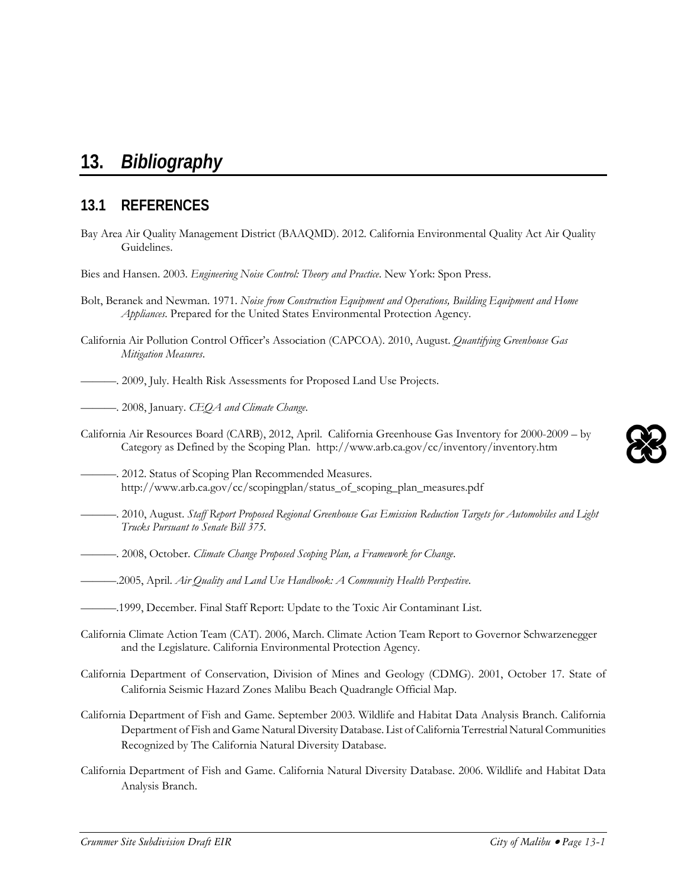#### *Crummer Site Subdivision Draft EIR City of Malibu* • *Page 13-1*

# **13.** *Bibliography*

# **13.1 REFERENCES**

- Bay Area Air Quality Management District (BAAQMD). 2012. California Environmental Quality Act Air Quality Guidelines.
- Bies and Hansen. 2003. *Engineering Noise Control: Theory and Practice*. New York: Spon Press.
- Bolt, Beranek and Newman. 1971. *Noise from Construction Equipment and Operations, Building Equipment and Home Appliances*. Prepared for the United States Environmental Protection Agency.
- California Air Pollution Control Officer's Association (CAPCOA). 2010, August. *Quantifying Greenhouse Gas Mitigation Measures*.
- ———. 2009, July. Health Risk Assessments for Proposed Land Use Projects.
- ———. 2008, January. *CEQA and Climate Change*.
- California Air Resources Board (CARB), 2012, April. California Greenhouse Gas Inventory for 2000-2009 by Category as Defined by the Scoping Plan. http://www.arb.ca.gov/cc/inventory/inventory.htm
- . 2012. Status of Scoping Plan Recommended Measures. http://www.arb.ca.gov/cc/scopingplan/status\_of\_scoping\_plan\_measures.pdf
- ———. 2010, August. *Staff Report Proposed Regional Greenhouse Gas Emission Reduction Targets for Automobiles and Light Trucks Pursuant to Senate Bill 375.*
- ———. 2008, October. *Climate Change Proposed Scoping Plan, a Framework for Change*.

———.2005, April. *Air Quality and Land Use Handbook: A Community Health Perspective*.

- ———.1999, December. Final Staff Report: Update to the Toxic Air Contaminant List.
- California Climate Action Team (CAT). 2006, March. Climate Action Team Report to Governor Schwarzenegger and the Legislature. California Environmental Protection Agency.
- California Department of Conservation, Division of Mines and Geology (CDMG). 2001, October 17. State of California Seismic Hazard Zones Malibu Beach Quadrangle Official Map.
- California Department of Fish and Game. September 2003. Wildlife and Habitat Data Analysis Branch. California Department of Fish and Game Natural Diversity Database. List of California Terrestrial Natural Communities Recognized by The California Natural Diversity Database.
- California Department of Fish and Game. California Natural Diversity Database. 2006. Wildlife and Habitat Data Analysis Branch.

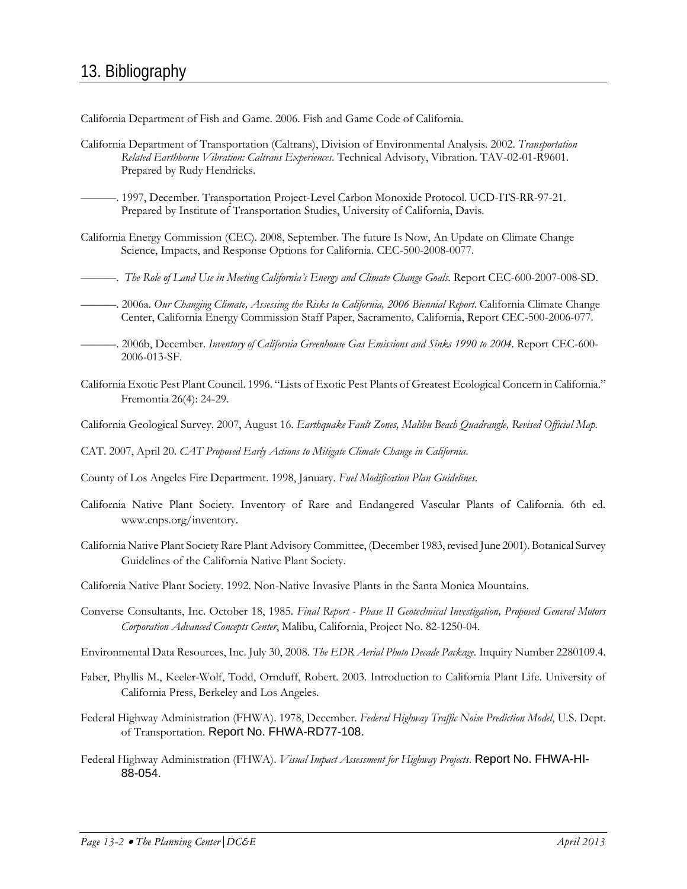California Department of Fish and Game. 2006. Fish and Game Code of California.

- California Department of Transportation (Caltrans), Division of Environmental Analysis. 2002. *Transportation Related Earthborne Vibration: Caltrans Experiences*. Technical Advisory, Vibration. TAV-02-01-R9601. Prepared by Rudy Hendricks.
- ———. 1997, December. Transportation Project-Level Carbon Monoxide Protocol. UCD-ITS-RR-97-21. Prepared by Institute of Transportation Studies, University of California, Davis.
- California Energy Commission (CEC). 2008, September. The future Is Now, An Update on Climate Change Science, Impacts, and Response Options for California. CEC-500-2008-0077.
- ———. *The Role of Land Use in Meeting California's Energy and Climate Change Goals.* Report CEC-600-2007-008-SD.
- ———. 2006a. *Our Changing Climate, Assessing the Risks to California, 2006 Biennial Report*. California Climate Change Center, California Energy Commission Staff Paper, Sacramento, California, Report CEC-500-2006-077.
- ———. 2006b, December. *Inventory of California Greenhouse Gas Emissions and Sinks 1990 to 2004*. Report CEC-600- 2006-013-SF.
- California Exotic Pest Plant Council. 1996. "Lists of Exotic Pest Plants of Greatest Ecological Concern in California." Fremontia 26(4): 24-29.
- California Geological Survey. 2007, August 16. *Earthquake Fault Zones, Malibu Beach Quadrangle, Revised Official Map.*
- CAT. 2007, April 20. *CAT Proposed Early Actions to Mitigate Climate Change in California*.
- County of Los Angeles Fire Department. 1998, January. *Fuel Modification Plan Guidelines*.
- California Native Plant Society. Inventory of Rare and Endangered Vascular Plants of California. 6th ed. [www.cnps.org/inventory.](http://www.cnps.org/inventory)
- California Native Plant Society Rare Plant Advisory Committee, (December 1983, revised June 2001). Botanical Survey Guidelines of the California Native Plant Society.
- California Native Plant Society. 1992. Non-Native Invasive Plants in the Santa Monica Mountains.
- Converse Consultants, Inc. October 18, 1985. *Final Report - Phase II Geotechnical Investigation, Proposed General Motors Corporation Advanced Concepts Center*, Malibu, California, Project No. 82-1250-04.
- Environmental Data Resources, Inc. July 30, 2008*. The EDR Aerial Photo Decade Package.* Inquiry Number 2280109.4.
- Faber, Phyllis M., Keeler-Wolf, Todd, Ornduff, Robert. 2003. Introduction to California Plant Life. University of California Press, Berkeley and Los Angeles.
- Federal Highway Administration (FHWA). 1978, December. *Federal Highway Traffic Noise Prediction Model*, U.S. Dept. of Transportation. Report No. FHWA-RD77-108.
- Federal Highway Administration (FHWA). *Visual Impact Assessment for Highway Projects*. Report No. FHWA-HI-88-054.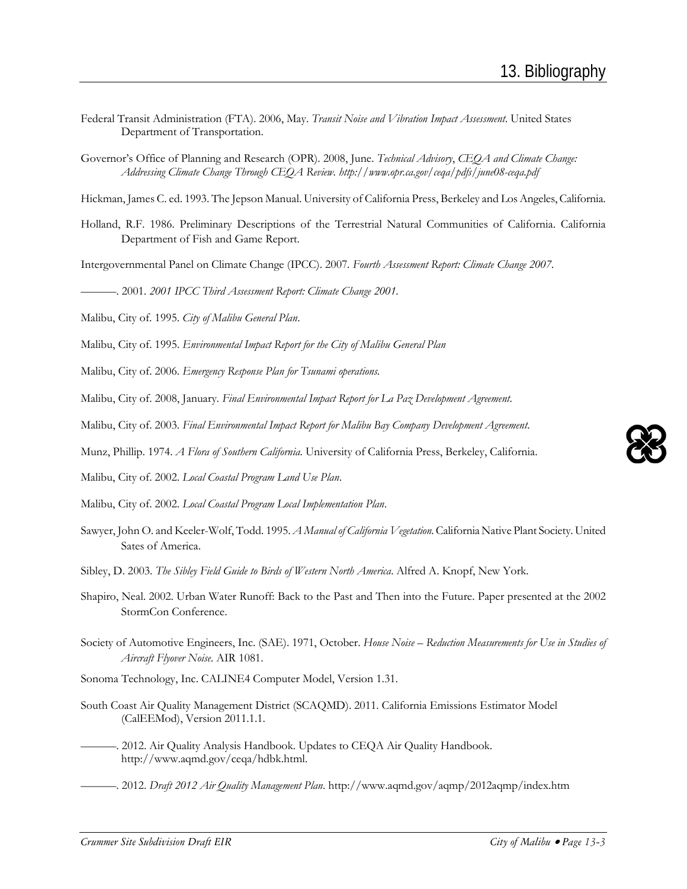- Federal Transit Administration (FTA). 2006, May. *Transit Noise and Vibration Impact Assessment*. United States Department of Transportation.
- Governor's Office of Planning and Research (OPR). 2008, June. *Technical Advisory*, *CEQA and Climate Change: Addressing Climate Change Through CEQA Review. http://www.opr.ca.gov/ceqa/pdfs/june08-ceqa.pdf*

Hickman, James C. ed. 1993. The Jepson Manual. University of California Press, Berkeley and Los Angeles, California.

Holland, R.F. 1986. Preliminary Descriptions of the Terrestrial Natural Communities of California. California Department of Fish and Game Report.

Intergovernmental Panel on Climate Change (IPCC). 2007*. Fourth Assessment Report: Climate Change 2007*.

———. 2001. *2001 IPCC Third Assessment Report: Climate Change 2001.*

Malibu, City of. 1995. *City of Malibu General Plan*.

Malibu, City of. 1995. *Environmental Impact Report for the City of Malibu General Plan*

Malibu, City of. 2006. *Emergency Response Plan for Tsunami operations.*

Malibu, City of. 2008, January. *Final Environmental Impact Report for La Paz Development Agreement*.

Malibu, City of. 2003. *Final Environmental Impact Report for Malibu Bay Company Development Agreement*.

Munz, Phillip. 1974. *A Flora of Southern California.* University of California Press, Berkeley, California.

Malibu, City of. 2002. *Local Coastal Program Land Use Plan*.

Malibu, City of. 2002. *Local Coastal Program Local Implementation Plan*.

- Sawyer, John O. and Keeler-Wolf, Todd. 1995. *A Manual of California Vegetation*. California Native Plant Society. United Sates of America.
- Sibley, D. 2003. *The Sibley Field Guide to Birds of Western North America*. Alfred A. Knopf, New York.
- Shapiro, Neal. 2002. Urban Water Runoff: Back to the Past and Then into the Future. Paper presented at the 2002 StormCon Conference.
- Society of Automotive Engineers, Inc. (SAE). 1971, October. *House Noise – Reduction Measurements for Use in Studies of Aircraft Flyover Noise*. AIR 1081.
- Sonoma Technology, Inc. CALINE4 Computer Model, Version 1.31.
- South Coast Air Quality Management District (SCAQMD). 2011. California Emissions Estimator Model (CalEEMod), Version 2011.1.1.
- -. 2012. Air Quality Analysis Handbook. Updates to CEQA Air Quality Handbook. http://www.aqmd.gov/ceqa/hdbk.html.
	- ———. 2012. *Draft 2012 Air Quality Management Plan*. http://www.aqmd.gov/aqmp/2012aqmp/index.htm

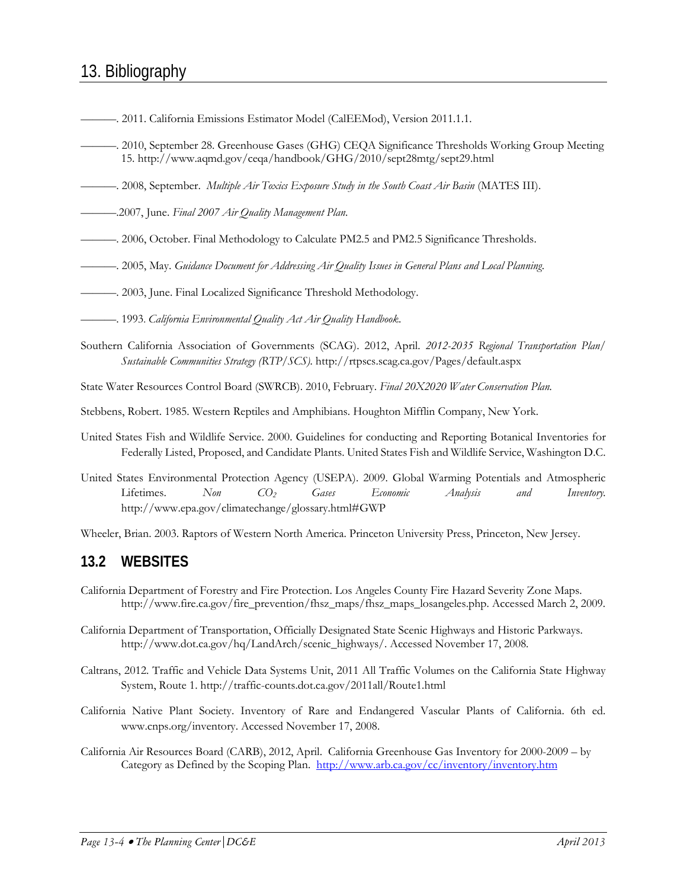## 13. Bibliography

- ———. 2011. California Emissions Estimator Model (CalEEMod), Version 2011.1.1.
- ———. 2010, September 28. Greenhouse Gases (GHG) CEQA Significance Thresholds Working Group Meeting 15. http://www.aqmd.gov/ceqa/handbook/GHG/2010/sept28mtg/sept29.html
- ———. 2008, September. *Multiple Air Toxics Exposure Study in the South Coast Air Basin* (MATES III).
- ———.2007, June. *Final 2007 Air Quality Management Plan*.
- ———. 2006, October. Final Methodology to Calculate PM2.5 and PM2.5 Significance Thresholds.
- ———. 2005, May. *Guidance Document for Addressing Air Quality Issues in General Plans and Local Planning*.
- ———. 2003, June. Final Localized Significance Threshold Methodology.
- ———. 1993. *California Environmental Quality Act Air Quality Handbook*.
- Southern California Association of Governments (SCAG). 2012, April. *2012-2035 Regional Transportation Plan/ Sustainable Communities Strategy (RTP/SCS).* http://rtpscs.scag.ca.gov/Pages/default.aspx

State Water Resources Control Board (SWRCB). 2010, February. *Final 20X2020 Water Conservation Plan.*

- Stebbens, Robert. 1985. Western Reptiles and Amphibians. Houghton Mifflin Company, New York.
- United States Fish and Wildlife Service. 2000. Guidelines for conducting and Reporting Botanical Inventories for Federally Listed, Proposed, and Candidate Plants. United States Fish and Wildlife Service, Washington D.C.
- United States Environmental Protection Agency (USEPA). 2009. Global Warming Potentials and Atmospheric Lifetimes. *Non CO2 Gases Economic Analysis and Inventory.*  http://www.epa.gov/climatechange/glossary.html#GWP

Wheeler, Brian. 2003. Raptors of Western North America. Princeton University Press, Princeton, New Jersey.

### **13.2 WEBSITES**

- California Department of Forestry and Fire Protection. Los Angeles County Fire Hazard Severity Zone Maps. [http://www.fire.ca.gov/fire\\_prevention/fhsz\\_maps/fhsz\\_maps\\_losangeles.php. A](http://www.fire.ca.gov/fire_prevention/fhsz_maps/fhsz_maps_losangeles.php.)ccessed March 2, 2009.
- California Department of Transportation, Officially Designated State Scenic Highways and Historic Parkways. http://www.dot.ca.gov/hq/LandArch/scenic\_highways/. Accessed November 17, 2008.
- Caltrans, 2012. Traffic and Vehicle Data Systems Unit, 2011 All Traffic Volumes on the California State Highway System, Route 1. http://traffic-counts.dot.ca.gov/2011all/Route1.html
- California Native Plant Society. Inventory of Rare and Endangered Vascular Plants of California. 6th ed. [www.cnps.org/inventory. A](http://www.cnps.org/inventory.)ccessed November 17, 2008.
- California Air Resources Board (CARB), 2012, April. California Greenhouse Gas Inventory for 2000-2009 by Category as Defined by the Scoping Plan. http://www.arb.ca.gov/cc/inventory/inventory.htm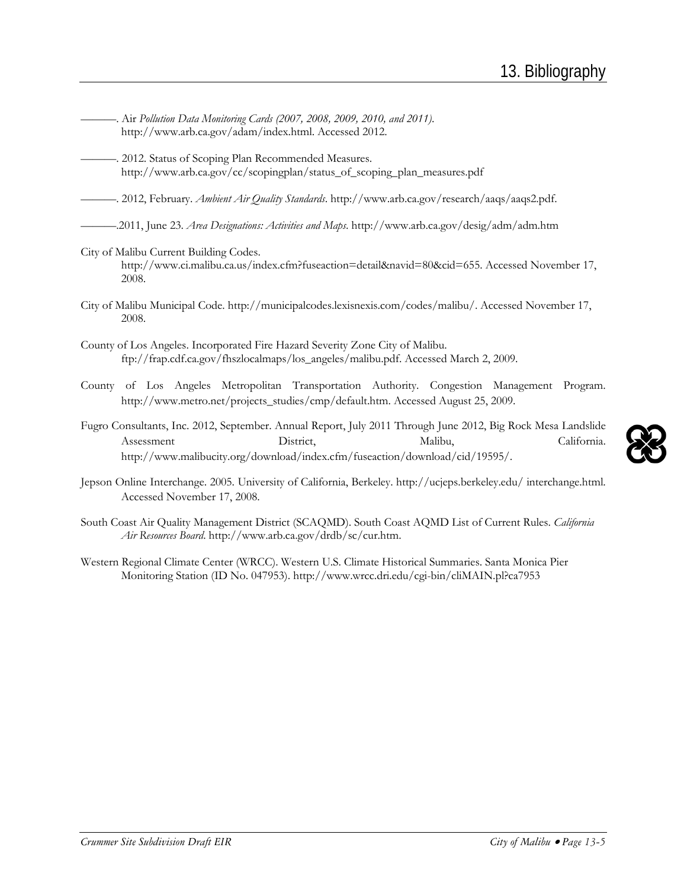- ———. Air *Pollution Data Monitoring Cards (2007, 2008, 2009, 2010, and 2011)*. http://www.arb.ca.gov/adam/index.html. Accessed 2012.
- -. 2012. Status of Scoping Plan Recommended Measures. http://www.arb.ca.gov/cc/scopingplan/status\_of\_scoping\_plan\_measures.pdf

———. 2012, February. *Ambient Air Quality Standards*[. http://www.arb.ca.gov/research/aaqs/aaqs2.pdf.](http://www.arb.ca.gov/research/aaqs/aaqs2.pdf)

———.2011, June 23. *Area Designations: Activities and Maps*. http://www.arb.ca.gov/desig/adm/adm.htm

City of Malibu Current Building Codes.

[http://www.ci.malibu.ca.us/index.cfm?fuseaction=detail&navid=80&cid=655.](http://www.ci.malibu.ca.us/index.cfm?fuseaction=detail&navid=80&cid=655) Accessed November 17, 2008.

- City of Malibu Municipal Code. [http://municipalcodes.lexisnexis.com/codes/malibu/.](http://municipalcodes.lexisnexis.com/codes/malibu/) Accessed November 17, 2008.
- County of Los Angeles. Incorporated Fire Hazard Severity Zone City of Malibu. [ftp://frap.cdf.ca.gov/fhszlocalmaps/los\\_angeles/malibu.pdf.](ftp://frap.cdf.ca.gov/fhszlocalmaps/los_angeles/malibu.pdf) Accessed March 2, 2009.
- County of Los Angeles Metropolitan Transportation Authority. Congestion Management Program. [http://www.metro.net/projects\\_studies/cmp/default.htm.](http://www.metro.net/projects_studies/cmp/default.htm) Accessed August 25, 2009.
- Fugro Consultants, Inc. 2012, September. Annual Report, July 2011 Through June 2012, Big Rock Mesa Landslide Assessment District, Malibu, California. http://www.malibucity.org/download/index.cfm/fuseaction/download/cid/19595/.
- Jepson Online Interchange. 2005. University of California, Berkeley. http://ucjeps.berkeley.edu/ interchange.html. Accessed November 17, 2008.
- South Coast Air Quality Management District (SCAQMD). South Coast AQMD List of Current Rules. *California Air Resources Board*. [http://www.arb.ca.gov/drdb/sc/cur.htm.](http://www.arb.ca.gov/drdb/sc/cur.htm)
- Western Regional Climate Center (WRCC). Western U.S. Climate Historical Summaries. Santa Monica Pier Monitoring Station (ID No. 047953). http://www.wrcc.dri.edu/cgi-bin/cliMAIN.pl?ca7953